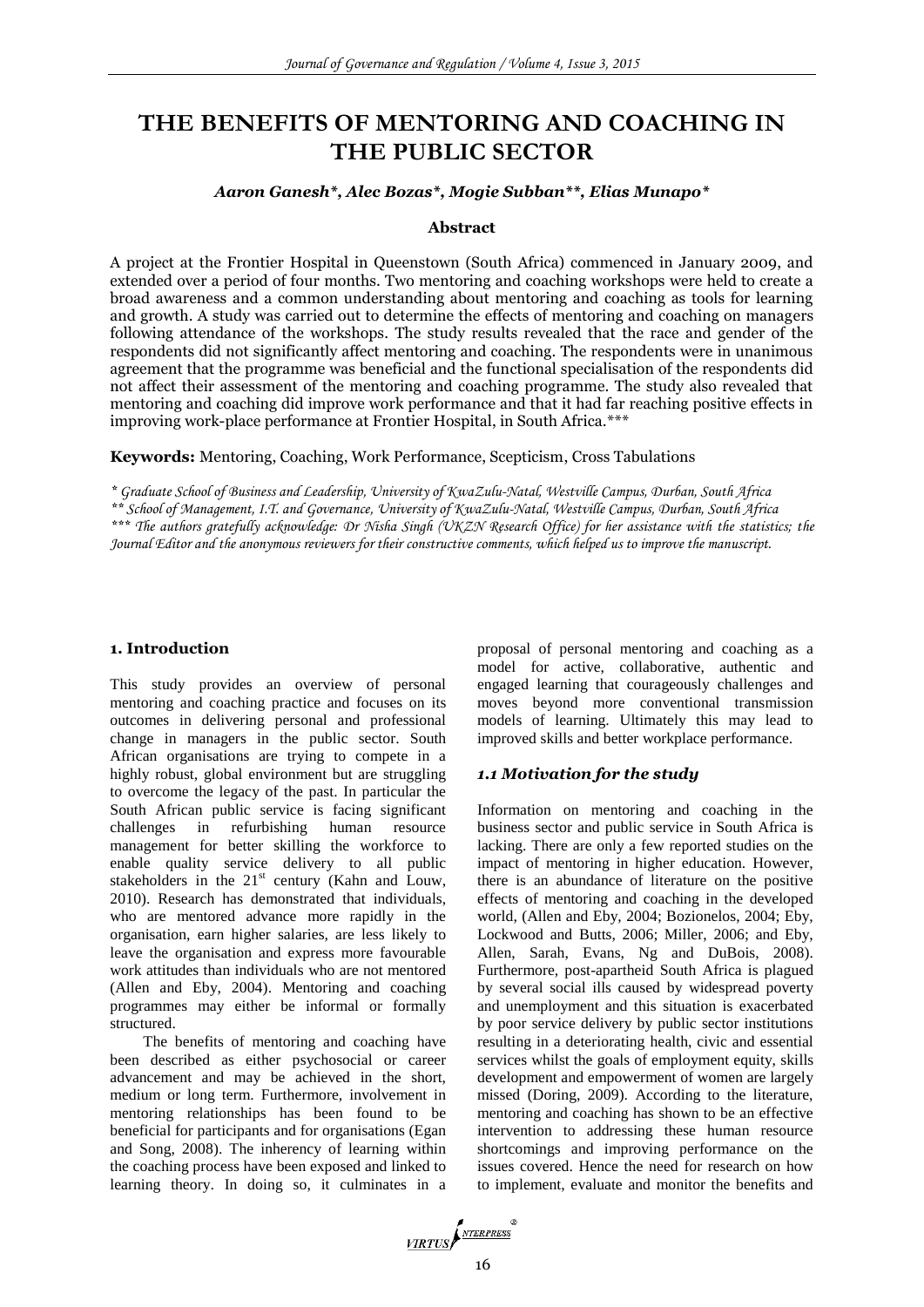# **THE BENEFITS OF MENTORING AND COACHING IN THE PUBLIC SECTOR**

# *Aaron Ganesh\*, Alec Bozas\*, Mogie Subban\*\*, Elias Munapo\**

#### **Abstract**

A project at the Frontier Hospital in Queenstown (South Africa) commenced in January 2009, and extended over a period of four months. Two mentoring and coaching workshops were held to create a broad awareness and a common understanding about mentoring and coaching as tools for learning and growth. A study was carried out to determine the effects of mentoring and coaching on managers following attendance of the workshops. The study results revealed that the race and gender of the respondents did not significantly affect mentoring and coaching. The respondents were in unanimous agreement that the programme was beneficial and the functional specialisation of the respondents did not affect their assessment of the mentoring and coaching programme. The study also revealed that mentoring and coaching did improve work performance and that it had far reaching positive effects in improving work-place performance at Frontier Hospital, in South Africa.\*\*\*

**Keywords:** Mentoring, Coaching, Work Performance, Scepticism, Cross Tabulations

*\* Graduate School of Business and Leadership, University of KwaZulu-Natal, Westville Campus, Durban, South Africa \*\* School of Management, I.T. and Governance, University of KwaZulu-Natal, Westville Campus, Durban, South Africa \*\*\* The authors gratefully acknowledge: Dr Nisha Singh (UKZN Research Office) for her assistance with the statistics; the Journal Editor and the anonymous reviewers for their constructive comments, which helped us to improve the manuscript.*

#### **1. Introduction**

This study provides an overview of personal mentoring and coaching practice and focuses on its outcomes in delivering personal and professional change in managers in the public sector. South African organisations are trying to compete in a highly robust, global environment but are struggling to overcome the legacy of the past. In particular the South African public service is facing significant challenges in refurbishing human resource management for better skilling the workforce to enable quality service delivery to all public stakeholders in the  $21<sup>st</sup>$  century (Kahn and Louw, 2010). Research has demonstrated that individuals, who are mentored advance more rapidly in the organisation, earn higher salaries, are less likely to leave the organisation and express more favourable work attitudes than individuals who are not mentored (Allen and Eby, 2004). Mentoring and coaching programmes may either be informal or formally structured.

The benefits of mentoring and coaching have been described as either psychosocial or career advancement and may be achieved in the short, medium or long term. Furthermore, involvement in mentoring relationships has been found to be beneficial for participants and for organisations (Egan and Song, 2008). The inherency of learning within the coaching process have been exposed and linked to learning theory. In doing so, it culminates in a

proposal of personal mentoring and coaching as a model for active, collaborative, authentic and engaged learning that courageously challenges and moves beyond more conventional transmission models of learning. Ultimately this may lead to improved skills and better workplace performance.

## *1.1 Motivation for the study*

Information on mentoring and coaching in the business sector and public service in South Africa is lacking. There are only a few reported studies on the impact of mentoring in higher education. However, there is an abundance of literature on the positive effects of mentoring and coaching in the developed world, (Allen and Eby, 2004; Bozionelos, 2004; Eby, Lockwood and Butts, 2006; Miller, 2006; and Eby, Allen, Sarah, Evans, Ng and DuBois, 2008). Furthermore, post-apartheid South Africa is plagued by several social ills caused by widespread poverty and unemployment and this situation is exacerbated by poor service delivery by public sector institutions resulting in a deteriorating health, civic and essential services whilst the goals of employment equity, skills development and empowerment of women are largely missed (Doring, 2009). According to the literature, mentoring and coaching has shown to be an effective intervention to addressing these human resource shortcomings and improving performance on the issues covered. Hence the need for research on how to implement, evaluate and monitor the benefits and

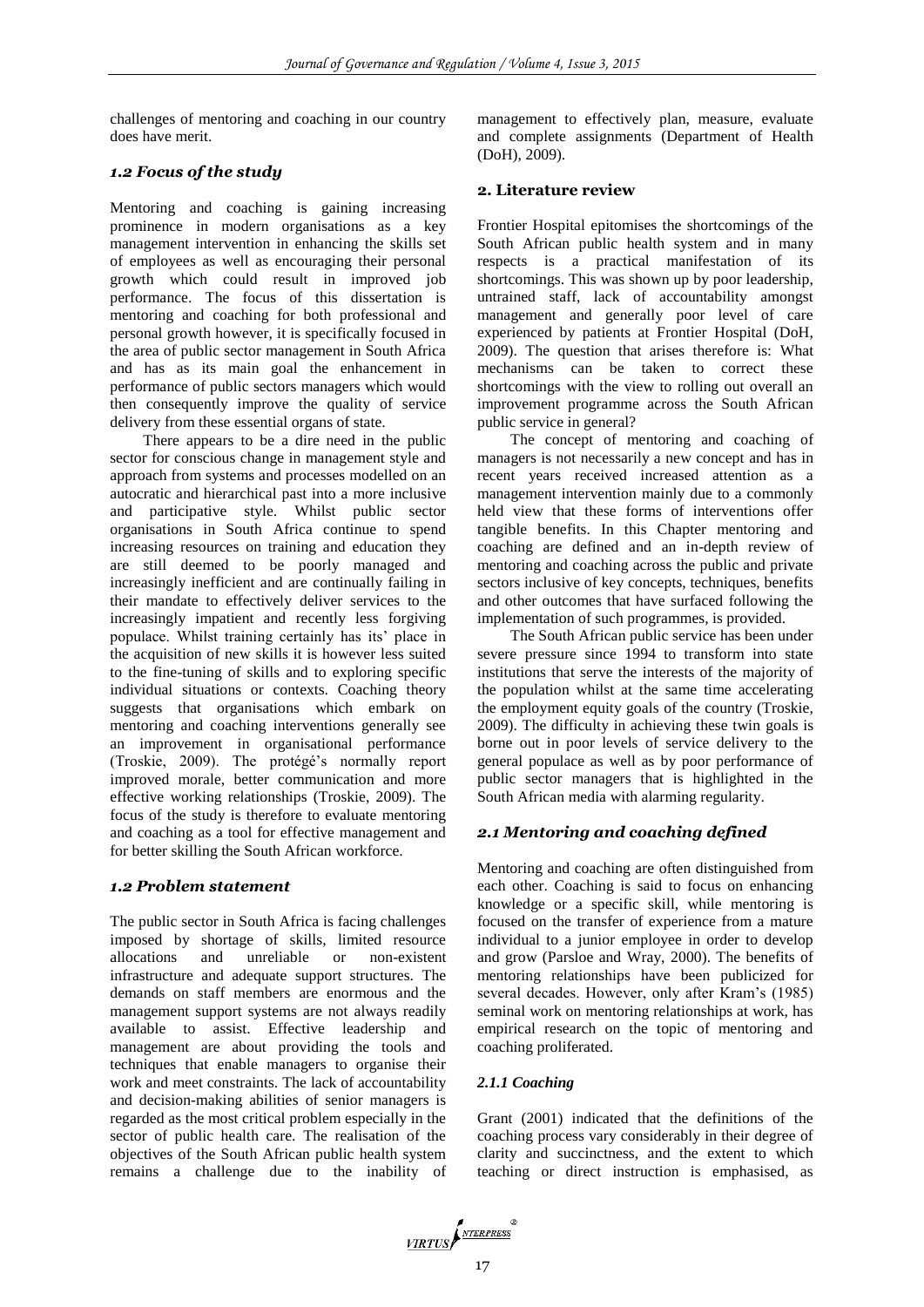challenges of mentoring and coaching in our country does have merit.

# *1.2 Focus of the study*

Mentoring and coaching is gaining increasing prominence in modern organisations as a key management intervention in enhancing the skills set of employees as well as encouraging their personal growth which could result in improved job performance. The focus of this dissertation is mentoring and coaching for both professional and personal growth however, it is specifically focused in the area of public sector management in South Africa and has as its main goal the enhancement in performance of public sectors managers which would then consequently improve the quality of service delivery from these essential organs of state.

There appears to be a dire need in the public sector for conscious change in management style and approach from systems and processes modelled on an autocratic and hierarchical past into a more inclusive and participative style. Whilst public sector organisations in South Africa continue to spend increasing resources on training and education they are still deemed to be poorly managed and increasingly inefficient and are continually failing in their mandate to effectively deliver services to the increasingly impatient and recently less forgiving populace. Whilst training certainly has its' place in the acquisition of new skills it is however less suited to the fine-tuning of skills and to exploring specific individual situations or contexts. Coaching theory suggests that organisations which embark on mentoring and coaching interventions generally see an improvement in organisational performance (Troskie, 2009). The protégé's normally report improved morale, better communication and more effective working relationships (Troskie, 2009). The focus of the study is therefore to evaluate mentoring and coaching as a tool for effective management and for better skilling the South African workforce.

## *1.2 Problem statement*

The public sector in South Africa is facing challenges imposed by shortage of skills, limited resource allocations and unreliable or non-existent infrastructure and adequate support structures. The demands on staff members are enormous and the management support systems are not always readily available to assist. Effective leadership and management are about providing the tools and techniques that enable managers to organise their work and meet constraints. The lack of accountability and decision-making abilities of senior managers is regarded as the most critical problem especially in the sector of public health care. The realisation of the objectives of the South African public health system remains a challenge due to the inability of management to effectively plan, measure, evaluate and complete assignments (Department of Health (DoH), 2009).

# **2. Literature review**

Frontier Hospital epitomises the shortcomings of the South African public health system and in many respects is a practical manifestation of its shortcomings. This was shown up by poor leadership, untrained staff, lack of accountability amongst management and generally poor level of care experienced by patients at Frontier Hospital (DoH, 2009). The question that arises therefore is: What mechanisms can be taken to correct these shortcomings with the view to rolling out overall an improvement programme across the South African public service in general?

The concept of mentoring and coaching of managers is not necessarily a new concept and has in recent years received increased attention as a management intervention mainly due to a commonly held view that these forms of interventions offer tangible benefits. In this Chapter mentoring and coaching are defined and an in-depth review of mentoring and coaching across the public and private sectors inclusive of key concepts, techniques, benefits and other outcomes that have surfaced following the implementation of such programmes, is provided.

The South African public service has been under severe pressure since 1994 to transform into state institutions that serve the interests of the majority of the population whilst at the same time accelerating the employment equity goals of the country (Troskie, 2009). The difficulty in achieving these twin goals is borne out in poor levels of service delivery to the general populace as well as by poor performance of public sector managers that is highlighted in the South African media with alarming regularity.

# *2.1 Mentoring and coaching defined*

Mentoring and coaching are often distinguished from each other. Coaching is said to focus on enhancing knowledge or a specific skill, while mentoring is focused on the transfer of experience from a mature individual to a junior employee in order to develop and grow (Parsloe and Wray, 2000). The benefits of mentoring relationships have been publicized for several decades. However, only after Kram's (1985) seminal work on mentoring relationships at work, has empirical research on the topic of mentoring and coaching proliferated.

# *2.1.1 Coaching*

Grant (2001) indicated that the definitions of the coaching process vary considerably in their degree of clarity and succinctness, and the extent to which teaching or direct instruction is emphasised, as

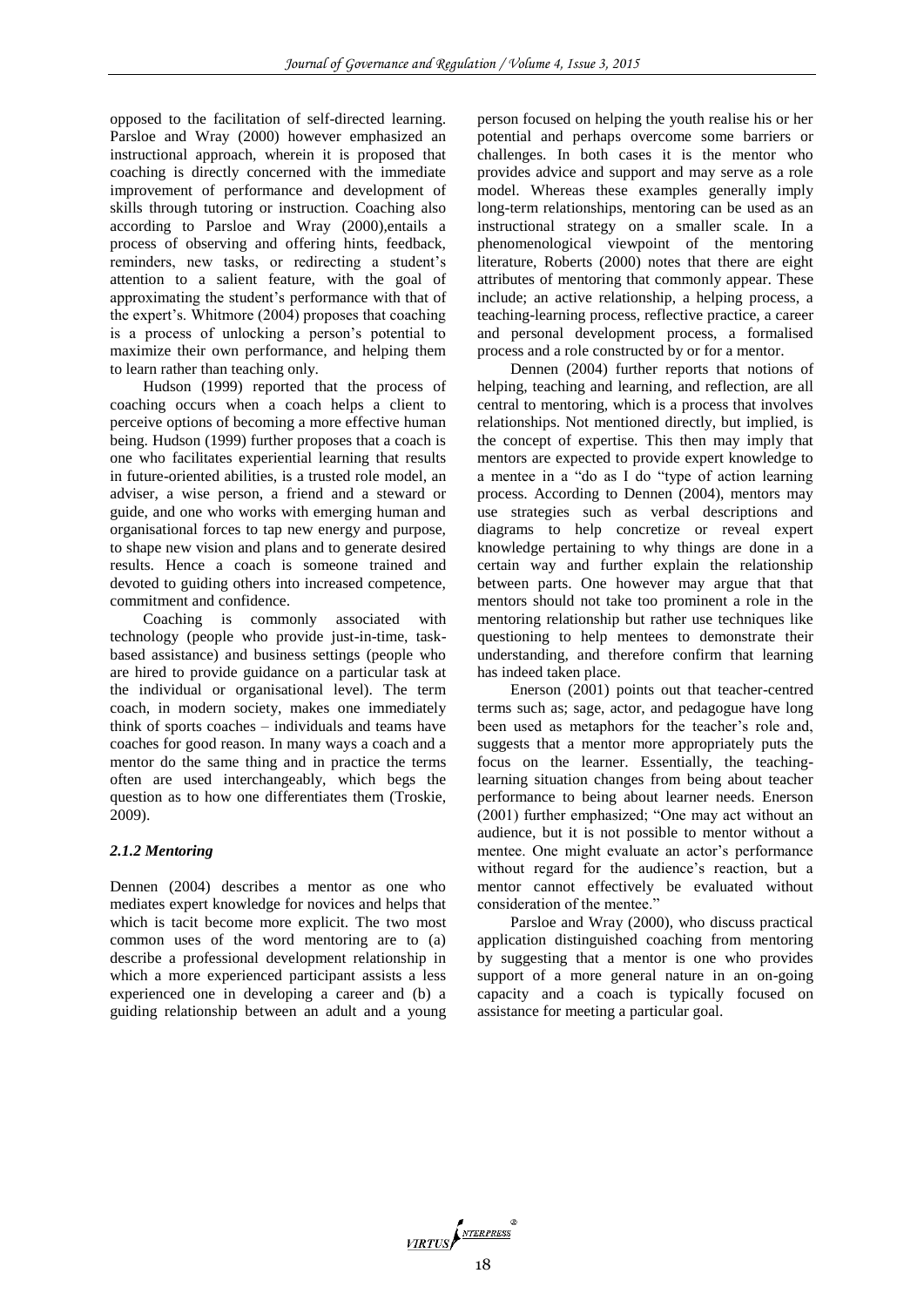opposed to the facilitation of self-directed learning. Parsloe and Wray (2000) however emphasized an instructional approach, wherein it is proposed that coaching is directly concerned with the immediate improvement of performance and development of skills through tutoring or instruction. Coaching also according to Parsloe and Wray (2000),entails a process of observing and offering hints, feedback, reminders, new tasks, or redirecting a student's attention to a salient feature, with the goal of approximating the student's performance with that of the expert's. Whitmore (2004) proposes that coaching is a process of unlocking a person's potential to maximize their own performance, and helping them to learn rather than teaching only.

Hudson (1999) reported that the process of coaching occurs when a coach helps a client to perceive options of becoming a more effective human being. Hudson (1999) further proposes that a coach is one who facilitates experiential learning that results in future-oriented abilities, is a trusted role model, an adviser, a wise person, a friend and a steward or guide, and one who works with emerging human and organisational forces to tap new energy and purpose, to shape new vision and plans and to generate desired results. Hence a coach is someone trained and devoted to guiding others into increased competence, commitment and confidence.

Coaching is commonly associated with technology (people who provide just-in-time, taskbased assistance) and business settings (people who are hired to provide guidance on a particular task at the individual or organisational level). The term coach, in modern society, makes one immediately think of sports coaches – individuals and teams have coaches for good reason. In many ways a coach and a mentor do the same thing and in practice the terms often are used interchangeably, which begs the question as to how one differentiates them (Troskie, 2009).

#### *2.1.2 Mentoring*

Dennen (2004) describes a mentor as one who mediates expert knowledge for novices and helps that which is tacit become more explicit. The two most common uses of the word mentoring are to (a) describe a professional development relationship in which a more experienced participant assists a less experienced one in developing a career and (b) a guiding relationship between an adult and a young

person focused on helping the youth realise his or her potential and perhaps overcome some barriers or challenges. In both cases it is the mentor who provides advice and support and may serve as a role model. Whereas these examples generally imply long-term relationships, mentoring can be used as an instructional strategy on a smaller scale. In a phenomenological viewpoint of the mentoring literature, Roberts (2000) notes that there are eight attributes of mentoring that commonly appear. These include; an active relationship, a helping process, a teaching-learning process, reflective practice, a career and personal development process, a formalised process and a role constructed by or for a mentor.

Dennen (2004) further reports that notions of helping, teaching and learning, and reflection, are all central to mentoring, which is a process that involves relationships. Not mentioned directly, but implied, is the concept of expertise. This then may imply that mentors are expected to provide expert knowledge to a mentee in a "do as I do "type of action learning process. According to Dennen (2004), mentors may use strategies such as verbal descriptions and diagrams to help concretize or reveal expert knowledge pertaining to why things are done in a certain way and further explain the relationship between parts. One however may argue that that mentors should not take too prominent a role in the mentoring relationship but rather use techniques like questioning to help mentees to demonstrate their understanding, and therefore confirm that learning has indeed taken place.

Enerson (2001) points out that teacher-centred terms such as; sage, actor, and pedagogue have long been used as metaphors for the teacher's role and, suggests that a mentor more appropriately puts the focus on the learner. Essentially, the teachinglearning situation changes from being about teacher performance to being about learner needs. Enerson (2001) further emphasized; "One may act without an audience, but it is not possible to mentor without a mentee. One might evaluate an actor's performance without regard for the audience's reaction, but a mentor cannot effectively be evaluated without consideration of the mentee."

Parsloe and Wray (2000), who discuss practical application distinguished coaching from mentoring by suggesting that a mentor is one who provides support of a more general nature in an on-going capacity and a coach is typically focused on assistance for meeting a particular goal.

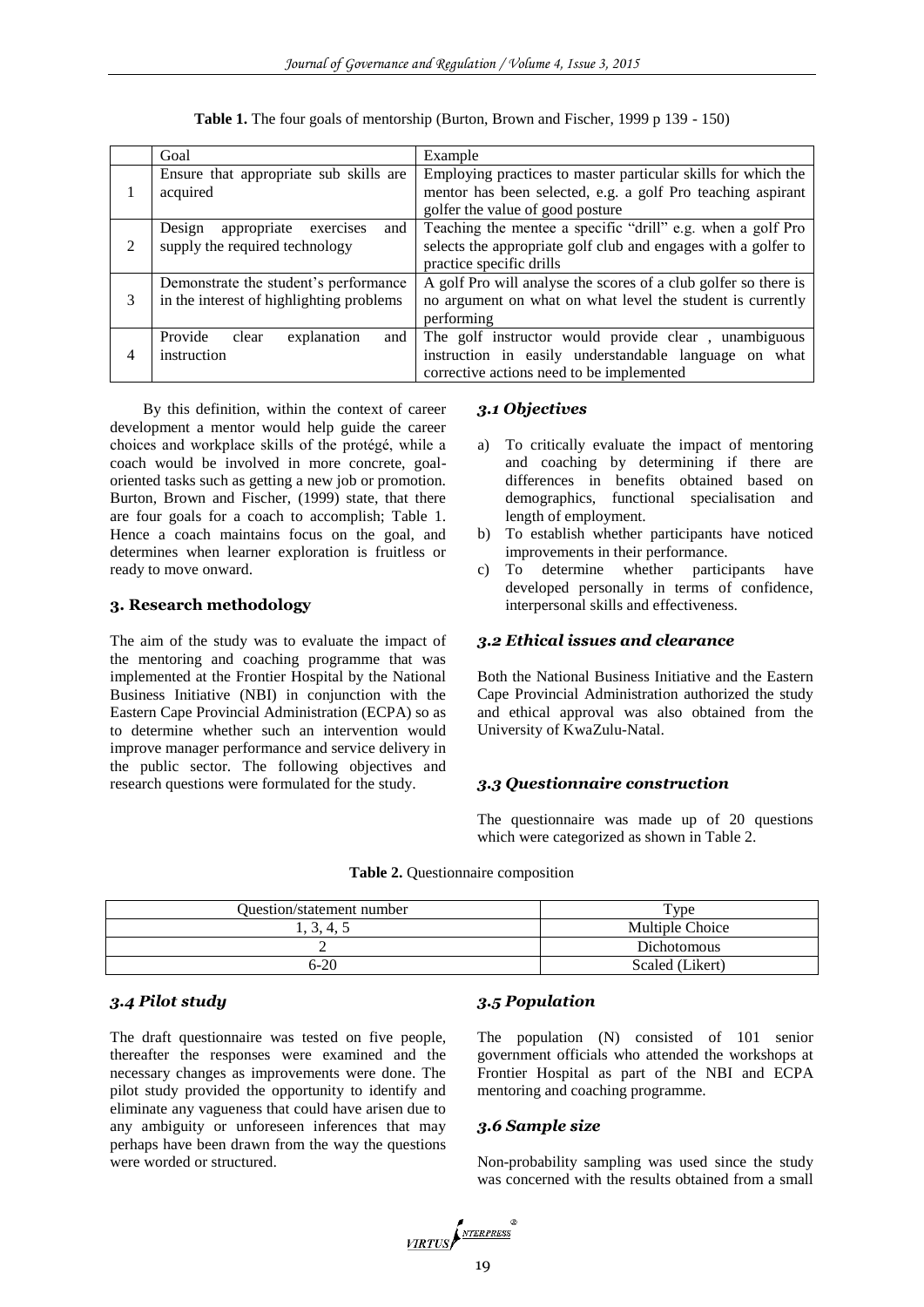|   | Goal                                      | Example                                                         |  |
|---|-------------------------------------------|-----------------------------------------------------------------|--|
|   | Ensure that appropriate sub skills are    | Employing practices to master particular skills for which the   |  |
|   | acquired                                  | mentor has been selected, e.g. a golf Pro teaching aspirant     |  |
|   |                                           | golfer the value of good posture                                |  |
|   | appropriate<br>exercises<br>and<br>Design | Teaching the mentee a specific "drill" e.g. when a golf Pro     |  |
| 2 | supply the required technology            | selects the appropriate golf club and engages with a golfer to  |  |
|   |                                           | practice specific drills                                        |  |
|   | Demonstrate the student's performance     | A golf Pro will analyse the scores of a club golfer so there is |  |
| 3 | in the interest of highlighting problems  | no argument on what on what level the student is currently      |  |
|   |                                           | performing                                                      |  |
|   | Provide<br>explanation<br>clear<br>and    | The golf instructor would provide clear, unambiguous            |  |
| 4 | instruction                               | instruction in easily understandable language on what           |  |
|   |                                           | corrective actions need to be implemented                       |  |

**Table 1.** The four goals of mentorship (Burton, Brown and Fischer, 1999 p 139 - 150)

By this definition, within the context of career development a mentor would help guide the career choices and workplace skills of the protégé, while a coach would be involved in more concrete, goaloriented tasks such as getting a new job or promotion. Burton, Brown and Fischer, (1999) state, that there are four goals for a coach to accomplish; Table 1. Hence a coach maintains focus on the goal, and determines when learner exploration is fruitless or ready to move onward.

## **3. Research methodology**

The aim of the study was to evaluate the impact of the mentoring and coaching programme that was implemented at the Frontier Hospital by the National Business Initiative (NBI) in conjunction with the Eastern Cape Provincial Administration (ECPA) so as to determine whether such an intervention would improve manager performance and service delivery in the public sector. The following objectives and research questions were formulated for the study.

## *3.1 Objectives*

- a) To critically evaluate the impact of mentoring and coaching by determining if there are differences in benefits obtained based on demographics, functional specialisation and length of employment.
- b) To establish whether participants have noticed improvements in their performance.
- c) To determine whether participants have developed personally in terms of confidence, interpersonal skills and effectiveness.

## *3.2 Ethical issues and clearance*

Both the National Business Initiative and the Eastern Cape Provincial Administration authorized the study and ethical approval was also obtained from the University of KwaZulu-Natal.

#### *3.3 Questionnaire construction*

The questionnaire was made up of 20 questions which were categorized as shown in Table 2.

| <b>Table 2.</b> Questionnaire composition |  |
|-------------------------------------------|--|
|                                           |  |

| <b>Ouestion/statement number</b> | vpe?            |
|----------------------------------|-----------------|
| 3, 4, 5                          | Multiple Choice |
| ∸                                | Dichotomous     |
| $6 - 20$                         | Scaled (Likert) |

# *3.4 Pilot study*

The draft questionnaire was tested on five people, thereafter the responses were examined and the necessary changes as improvements were done. The pilot study provided the opportunity to identify and eliminate any vagueness that could have arisen due to any ambiguity or unforeseen inferences that may perhaps have been drawn from the way the questions were worded or structured.

#### *3.5 Population*

The population (N) consisted of 101 senior government officials who attended the workshops at Frontier Hospital as part of the NBI and ECPA mentoring and coaching programme.

#### *3.6 Sample size*

Non-probability sampling was used since the study was concerned with the results obtained from a small

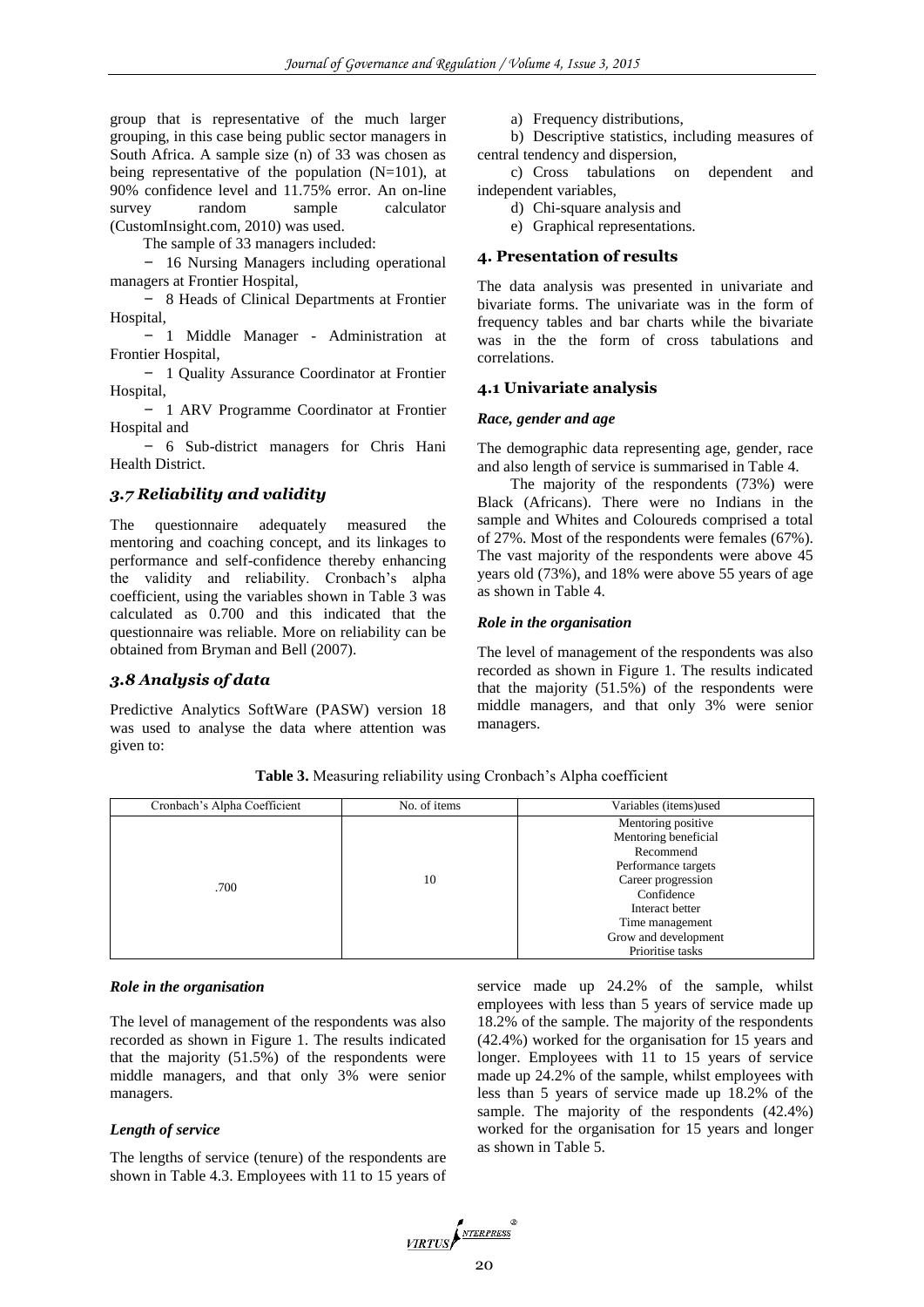group that is representative of the much larger grouping, in this case being public sector managers in South Africa. A sample size (n) of 33 was chosen as being representative of the population (N=101), at 90% confidence level and 11.75% error. An on-line survey random sample calculator (CustomInsight.com, 2010) was used.

The sample of 33 managers included:

- 16 Nursing Managers including operational managers at Frontier Hospital,

- 8 Heads of Clinical Departments at Frontier Hospital,

- 1 Middle Manager - Administration at Frontier Hospital,

- 1 Quality Assurance Coordinator at Frontier Hospital,

- 1 ARV Programme Coordinator at Frontier Hospital and

- 6 Sub-district managers for Chris Hani Health District.

## *3.7 Reliability and validity*

The questionnaire adequately measured the mentoring and coaching concept, and its linkages to performance and self-confidence thereby enhancing the validity and reliability. Cronbach's alpha coefficient, using the variables shown in Table 3 was calculated as 0.700 and this indicated that the questionnaire was reliable. More on reliability can be obtained from Bryman and Bell (2007).

# *3.8 Analysis of data*

Predictive Analytics SoftWare (PASW) version 18 was used to analyse the data where attention was given to:

a) Frequency distributions,

b) Descriptive statistics, including measures of central tendency and dispersion,

c) Cross tabulations on dependent and independent variables,

d) Chi-square analysis and

e) Graphical representations.

#### **4. Presentation of results**

The data analysis was presented in univariate and bivariate forms. The univariate was in the form of frequency tables and bar charts while the bivariate was in the the form of cross tabulations and correlations.

## **4.1 Univariate analysis**

## *Race, gender and age*

The demographic data representing age, gender, race and also length of service is summarised in Table 4.

The majority of the respondents (73%) were Black (Africans). There were no Indians in the sample and Whites and Coloureds comprised a total of 27%. Most of the respondents were females (67%). The vast majority of the respondents were above 45 years old (73%), and 18% were above 55 years of age as shown in Table 4.

#### *Role in the organisation*

The level of management of the respondents was also recorded as shown in Figure 1. The results indicated that the majority (51.5%) of the respondents were middle managers, and that only 3% were senior managers.

**Table 3.** Measuring reliability using Cronbach's Alpha coefficient

| Cronbach's Alpha Coefficient | No. of items | Variables (items)used                                                                                                                                    |
|------------------------------|--------------|----------------------------------------------------------------------------------------------------------------------------------------------------------|
| .700                         | 10           | Mentoring positive<br>Mentoring beneficial<br>Recommend<br>Performance targets<br>Career progression<br>Confidence<br>Interact better<br>Time management |
|                              |              | Grow and development<br>Prioritise tasks                                                                                                                 |

#### *Role in the organisation*

The level of management of the respondents was also recorded as shown in Figure 1. The results indicated that the majority (51.5%) of the respondents were middle managers, and that only 3% were senior managers.

## *Length of service*

The lengths of service (tenure) of the respondents are shown in Table 4.3. Employees with 11 to 15 years of service made up 24.2% of the sample, whilst employees with less than 5 years of service made up 18.2% of the sample. The majority of the respondents (42.4%) worked for the organisation for 15 years and longer. Employees with 11 to 15 years of service made up 24.2% of the sample, whilst employees with less than 5 years of service made up 18.2% of the sample. The majority of the respondents (42.4%) worked for the organisation for 15 years and longer as shown in Table 5.

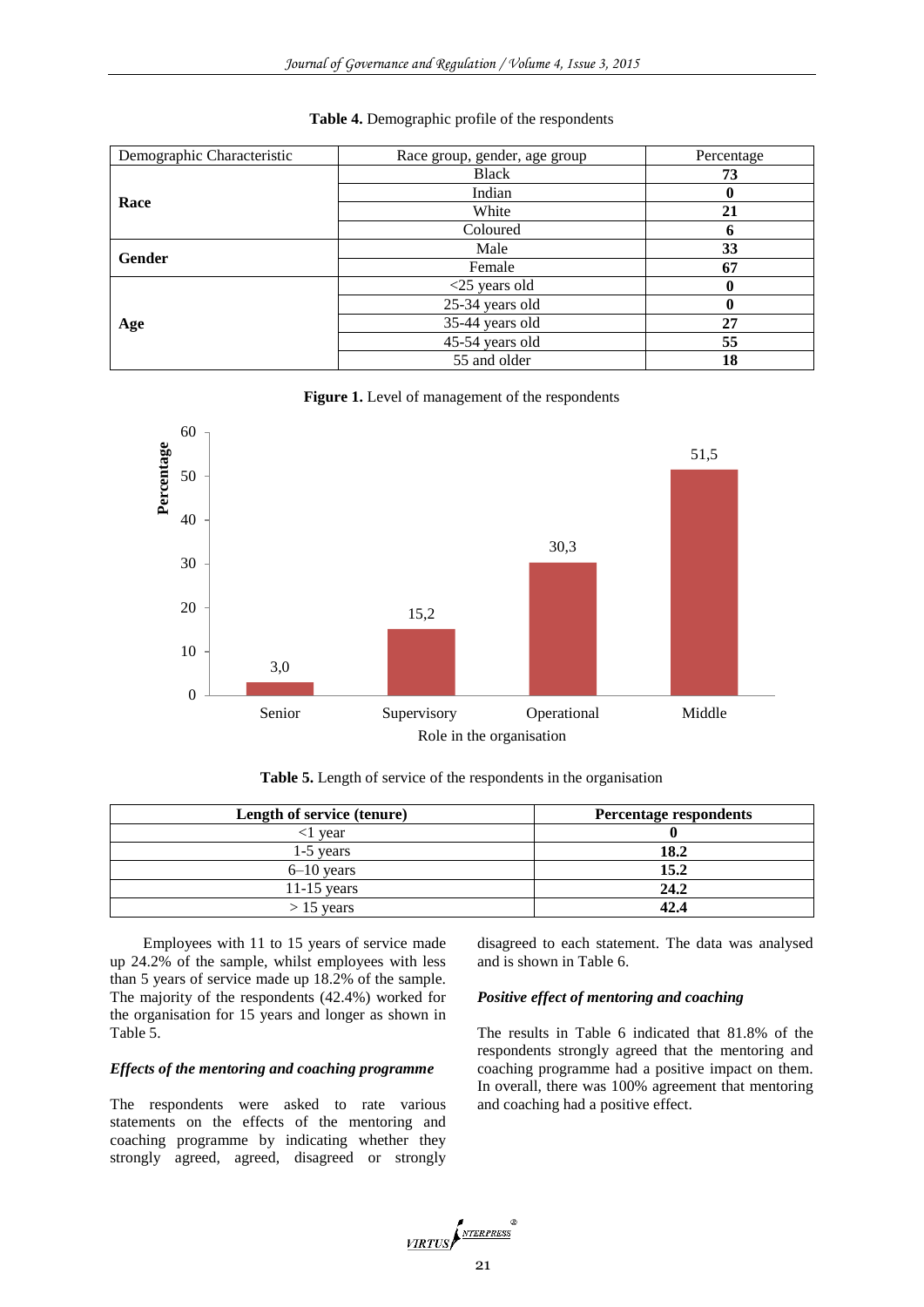| Demographic Characteristic | Race group, gender, age group | Percentage |
|----------------------------|-------------------------------|------------|
|                            | <b>Black</b>                  | 73         |
|                            | Indian                        | 0          |
| Race                       | White                         | 21         |
|                            | Coloured                      | n          |
| Gender                     | Male                          | 33         |
|                            | Female                        | 67         |
|                            | $<$ 25 years old              | 0          |
|                            | 25-34 years old               | 0          |
| Age                        | 35-44 years old               | 27         |
|                            | 45-54 years old               | 55         |
|                            | 55 and older                  | 18         |

#### **Table 4.** Demographic profile of the respondents





**Table 5.** Length of service of the respondents in the organisation

| Length of service (tenure) | Percentage respondents |
|----------------------------|------------------------|
| vear                       |                        |
| $1-5$ years                | 18.2                   |
| $6-10$ years               | 15.2                   |
| $11-15$ years              | 24.2                   |
| $> 15$ years               | 42.4                   |

Employees with 11 to 15 years of service made up 24.2% of the sample, whilst employees with less than 5 years of service made up 18.2% of the sample. The majority of the respondents (42.4%) worked for the organisation for 15 years and longer as shown in Table 5.

# *Effects of the mentoring and coaching programme*

The respondents were asked to rate various statements on the effects of the mentoring and coaching programme by indicating whether they strongly agreed, agreed, disagreed or strongly disagreed to each statement. The data was analysed and is shown in Table 6.

## *Positive effect of mentoring and coaching*

The results in Table 6 indicated that 81.8% of the respondents strongly agreed that the mentoring and coaching programme had a positive impact on them. In overall, there was 100% agreement that mentoring and coaching had a positive effect.

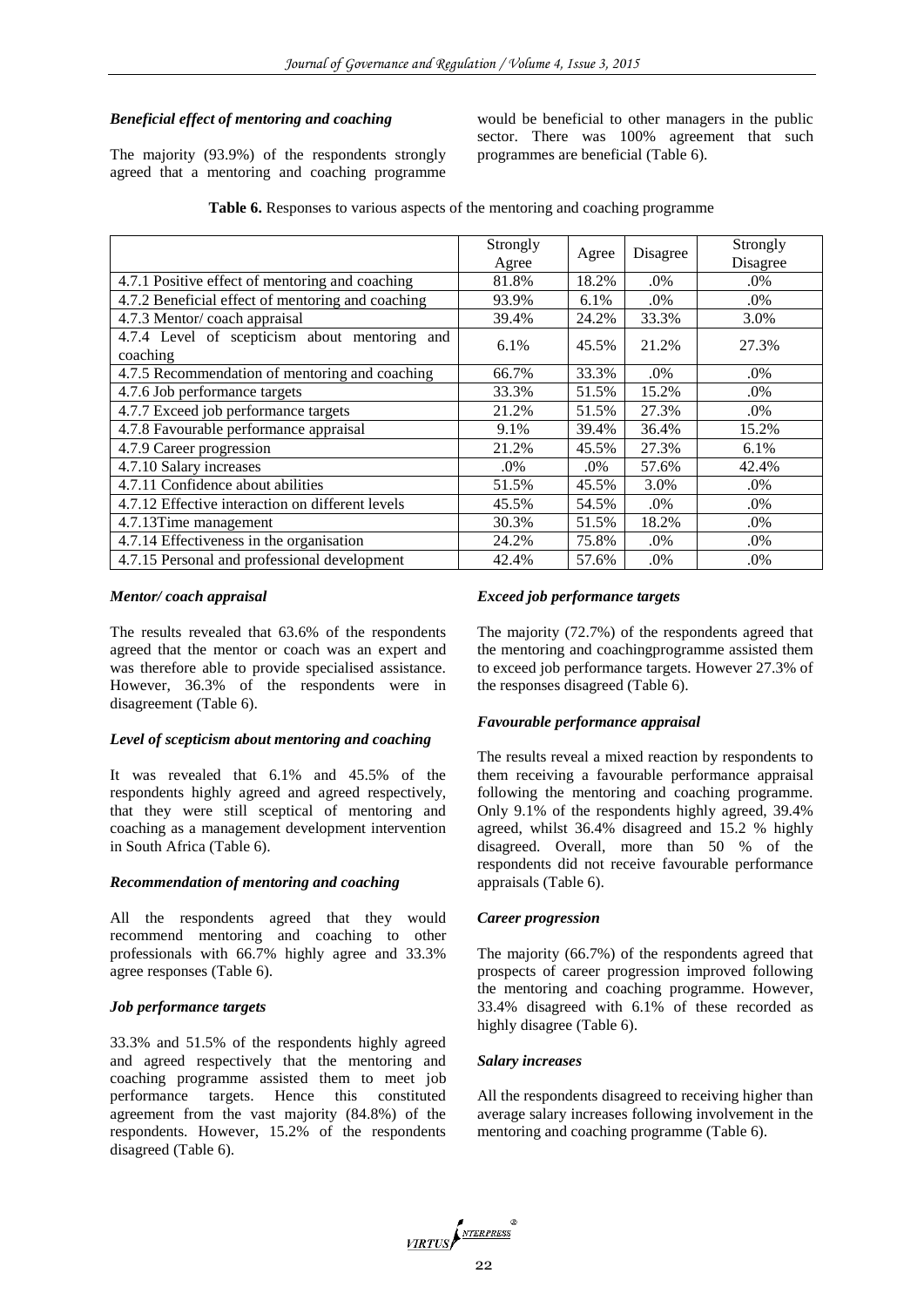# *Beneficial effect of mentoring and coaching*

The majority (93.9%) of the respondents strongly agreed that a mentoring and coaching programme

would be beneficial to other managers in the public sector. There was 100% agreement that such programmes are beneficial (Table 6).

|  | Table 6. Responses to various aspects of the mentoring and coaching programme |
|--|-------------------------------------------------------------------------------|
|  |                                                                               |

|                                                           | Strongly |       |          | Strongly |
|-----------------------------------------------------------|----------|-------|----------|----------|
|                                                           | Agree    | Agree | Disagree | Disagree |
| 4.7.1 Positive effect of mentoring and coaching           | 81.8%    | 18.2% | .0%      | .0%      |
| 4.7.2 Beneficial effect of mentoring and coaching         | 93.9%    | 6.1%  | .0%      | .0%      |
| 4.7.3 Mentor/coach appraisal                              | 39.4%    | 24.2% | 33.3%    | 3.0%     |
| 4.7.4 Level of scepticism about mentoring and<br>coaching | 6.1%     | 45.5% | 21.2%    | 27.3%    |
| 4.7.5 Recommendation of mentoring and coaching            | 66.7%    | 33.3% | .0%      | .0%      |
| 4.7.6 Job performance targets                             | 33.3%    | 51.5% | 15.2%    | .0%      |
| 4.7.7 Exceed job performance targets                      | 21.2%    | 51.5% | 27.3%    | .0%      |
| 4.7.8 Favourable performance appraisal                    | 9.1%     | 39.4% | 36.4%    | 15.2%    |
| 4.7.9 Career progression                                  | 21.2%    | 45.5% | 27.3%    | 6.1%     |
| 4.7.10 Salary increases                                   | .0%      | .0%   | 57.6%    | 42.4%    |
| 4.7.11 Confidence about abilities                         | 51.5%    | 45.5% | 3.0%     | $.0\%$   |
| 4.7.12 Effective interaction on different levels          | 45.5%    | 54.5% | .0%      | .0%      |
| 4.7.13Time management                                     | 30.3%    | 51.5% | 18.2%    | .0%      |
| $\overline{4.7.14}$ Effectiveness in the organisation     | 24.2%    | 75.8% | .0%      | .0%      |
| 4.7.15 Personal and professional development              | 42.4%    | 57.6% | .0%      | .0%      |

## *Mentor/ coach appraisal*

The results revealed that 63.6% of the respondents agreed that the mentor or coach was an expert and was therefore able to provide specialised assistance. However, 36.3% of the respondents were in disagreement (Table 6).

## *Level of scepticism about mentoring and coaching*

It was revealed that 6.1% and 45.5% of the respondents highly agreed and agreed respectively, that they were still sceptical of mentoring and coaching as a management development intervention in South Africa (Table 6).

## *Recommendation of mentoring and coaching*

All the respondents agreed that they would recommend mentoring and coaching to other professionals with 66.7% highly agree and 33.3% agree responses (Table 6).

## *Job performance targets*

33.3% and 51.5% of the respondents highly agreed and agreed respectively that the mentoring and coaching programme assisted them to meet job performance targets. Hence this constituted agreement from the vast majority (84.8%) of the respondents. However, 15.2% of the respondents disagreed (Table 6).

## *Exceed job performance targets*

The majority (72.7%) of the respondents agreed that the mentoring and coachingprogramme assisted them to exceed job performance targets. However 27.3% of the responses disagreed (Table 6).

#### *Favourable performance appraisal*

The results reveal a mixed reaction by respondents to them receiving a favourable performance appraisal following the mentoring and coaching programme. Only 9.1% of the respondents highly agreed, 39.4% agreed, whilst 36.4% disagreed and 15.2 % highly disagreed. Overall, more than 50 % of the respondents did not receive favourable performance appraisals (Table 6).

#### *Career progression*

The majority (66.7%) of the respondents agreed that prospects of career progression improved following the mentoring and coaching programme. However, 33.4% disagreed with 6.1% of these recorded as highly disagree (Table 6).

#### *Salary increases*

All the respondents disagreed to receiving higher than average salary increases following involvement in the mentoring and coaching programme (Table 6).

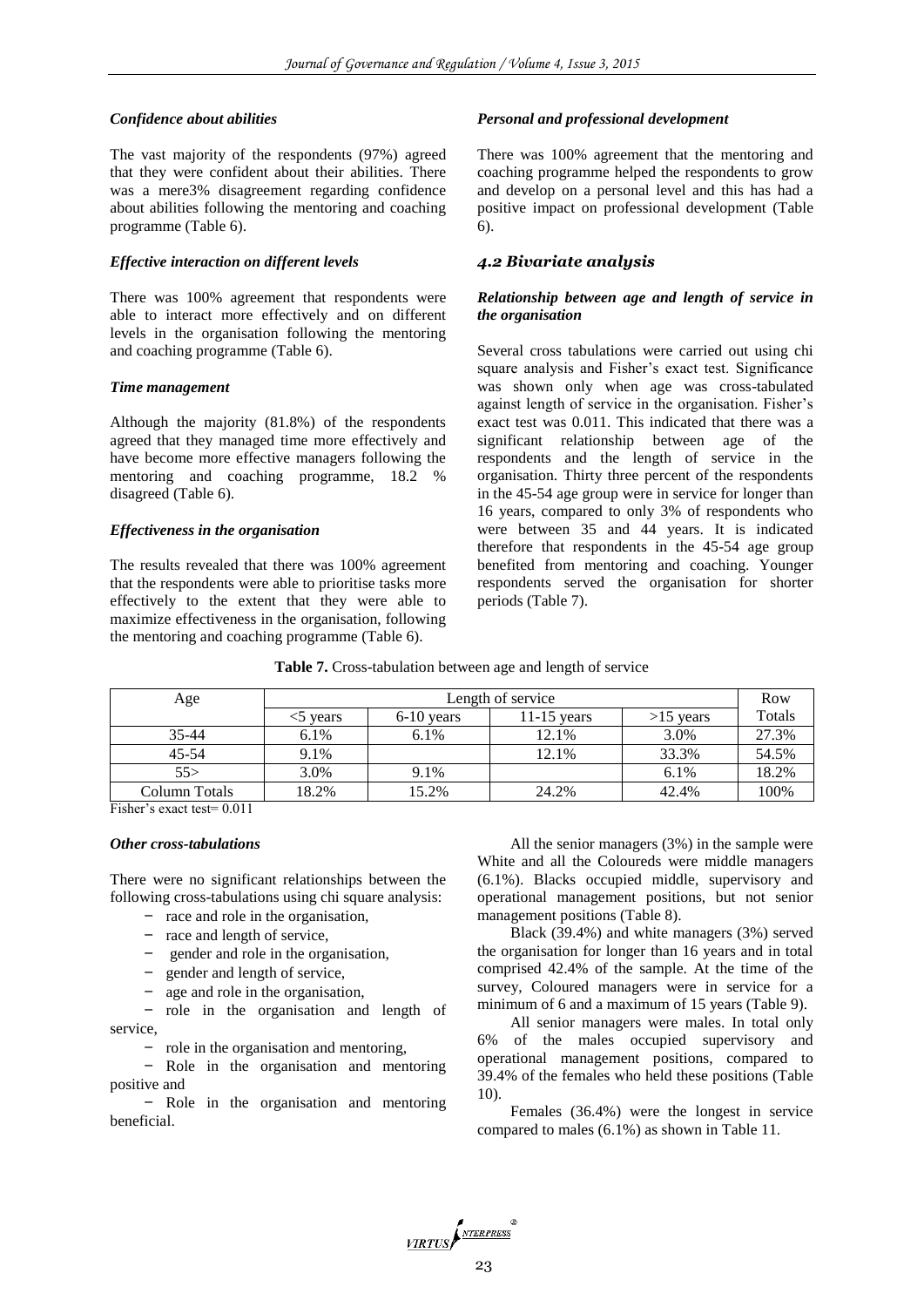#### *Confidence about abilities*

The vast majority of the respondents (97%) agreed that they were confident about their abilities. There was a mere3% disagreement regarding confidence about abilities following the mentoring and coaching programme (Table 6).

#### *Effective interaction on different levels*

There was 100% agreement that respondents were able to interact more effectively and on different levels in the organisation following the mentoring and coaching programme (Table 6).

#### *Time management*

Although the majority (81.8%) of the respondents agreed that they managed time more effectively and have become more effective managers following the mentoring and coaching programme, 18.2 % disagreed (Table 6).

#### *Effectiveness in the organisation*

The results revealed that there was 100% agreement that the respondents were able to prioritise tasks more effectively to the extent that they were able to maximize effectiveness in the organisation, following the mentoring and coaching programme (Table 6).

## *Personal and professional development*

There was 100% agreement that the mentoring and coaching programme helped the respondents to grow and develop on a personal level and this has had a positive impact on professional development (Table 6).

# *4.2 Bivariate analysis*

## *Relationship between age and length of service in the organisation*

Several cross tabulations were carried out using chi square analysis and Fisher's exact test. Significance was shown only when age was cross-tabulated against length of service in the organisation. Fisher's exact test was 0.011. This indicated that there was a significant relationship between age of the respondents and the length of service in the organisation. Thirty three percent of the respondents in the 45-54 age group were in service for longer than 16 years, compared to only 3% of respondents who were between 35 and 44 years. It is indicated therefore that respondents in the 45-54 age group benefited from mentoring and coaching. Younger respondents served the organisation for shorter periods (Table 7).

**Table 7.** Cross-tabulation between age and length of service

| Age           | Length of service |              |               |             |        |  |
|---------------|-------------------|--------------|---------------|-------------|--------|--|
|               | years             | $6-10$ years | $11-15$ years | $>15$ years | Totals |  |
| $35 - 44$     | $6.1\%$           | $6.1\%$      | 12.1%         | 3.0%        | 27.3%  |  |
| $45 - 54$     | 9.1%              |              | 12.1%         | 33.3%       | 54.5%  |  |
| 55>           | 3.0%              | 9.1%         |               | 6.1%        | 18.2%  |  |
| Column Totals | 18.2%             | 15.2%        | 24.2%         | 42.4%       | 100%   |  |

Fisher's exact test= 0.011

#### *Other cross-tabulations*

There were no significant relationships between the following cross-tabulations using chi square analysis:

- race and role in the organisation,
- race and length of service,
- gender and role in the organisation,
- gender and length of service,
- age and role in the organisation,

- role in the organisation and length of service,

- role in the organisation and mentoring,

- Role in the organisation and mentoring positive and

- Role in the organisation and mentoring beneficial.

All the senior managers (3%) in the sample were White and all the Coloureds were middle managers (6.1%). Blacks occupied middle, supervisory and operational management positions, but not senior management positions (Table 8).

Black (39.4%) and white managers (3%) served the organisation for longer than 16 years and in total comprised 42.4% of the sample. At the time of the survey, Coloured managers were in service for a minimum of 6 and a maximum of 15 years (Table 9).

All senior managers were males. In total only 6% of the males occupied supervisory and operational management positions, compared to 39.4% of the females who held these positions (Table 10).

Females (36.4%) were the longest in service compared to males (6.1%) as shown in Table 11.

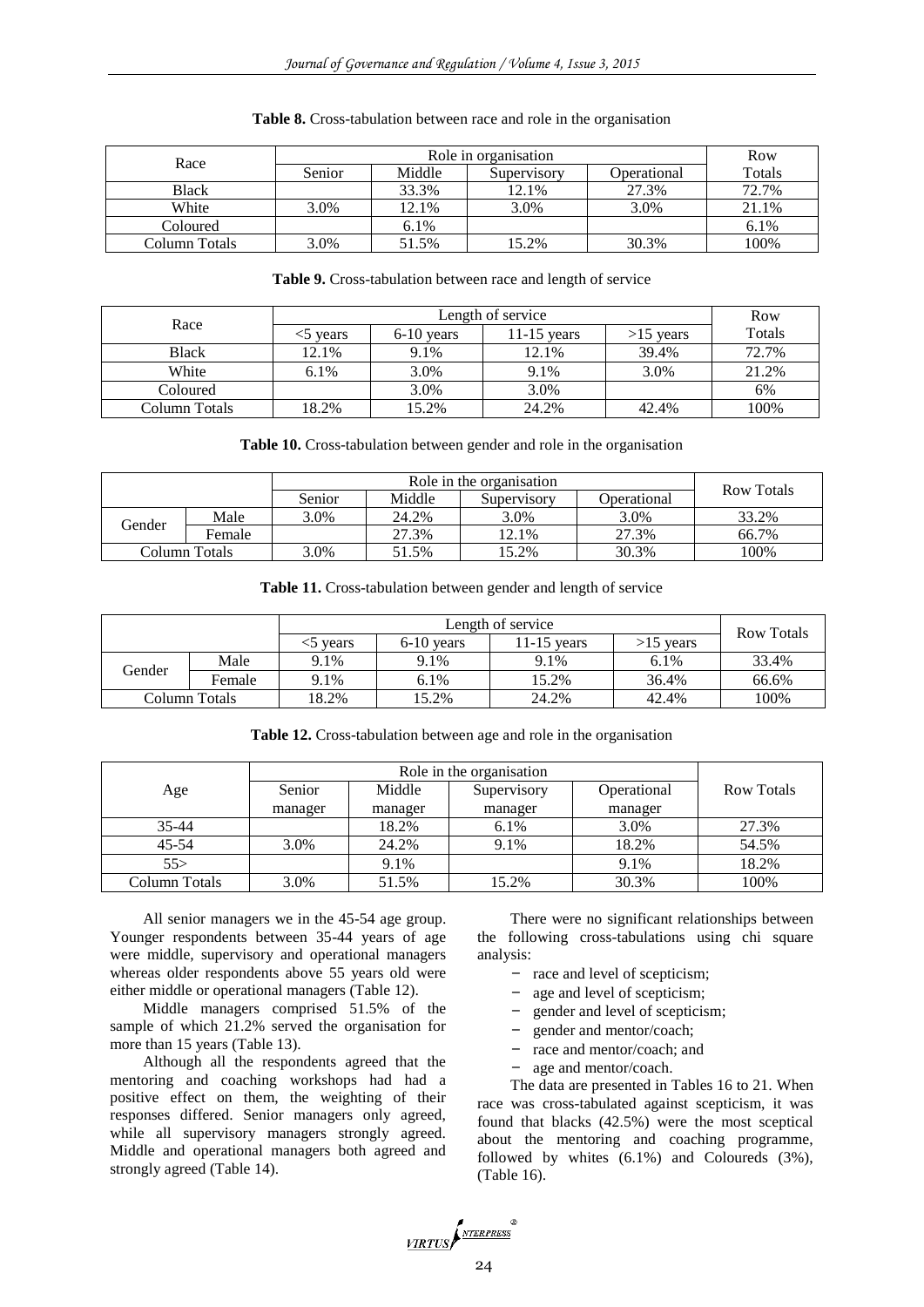| Race          |        | Row    |             |             |         |
|---------------|--------|--------|-------------|-------------|---------|
|               | Senior | Middle | Supervisory | Operational | Totals  |
| <b>Black</b>  |        | 33.3%  | 12.1%       | 27.3%       | 72.7%   |
| White         | 3.0%   | 12.1%  | 3.0%        | 3.0%        | 21.1%   |
| Coloured      |        | 6.1%   |             |             | $6.1\%$ |
| Column Totals | 3.0%   | 51.5%  | 15.2%       | 30.3%       | 100%    |

#### **Table 8.** Cross-tabulation between race and role in the organisation

#### **Table 9.** Cross-tabulation between race and length of service

| Race          |       | Row          |               |             |        |
|---------------|-------|--------------|---------------|-------------|--------|
|               | vears | $6-10$ years | $11-15$ vears | $>15$ years | Totals |
| <b>Black</b>  | 12.1% | 9.1%         | 12.1%         | 39.4%       | 72.7%  |
| White         | 6.1%  | 3.0%         | 9.1%          | 3.0%        | 21.2%  |
| Coloured      |       | 3.0%         | 3.0%          |             | 6%     |
| Column Totals | 18.2% | 15.2%        | 24.2%         | 42.4%       | 100%   |

#### **Table 10.** Cross-tabulation between gender and role in the organisation

|               |        | Role in the organisation |        |             |             | Row Totals |
|---------------|--------|--------------------------|--------|-------------|-------------|------------|
|               |        | Senior                   | Middle | Supervisory | Operational |            |
| Gender        | Male   | 3.0%                     | 24.2%  | 3.0%        | 3.0%        | 33.2%      |
|               | Female |                          | 27.3%  | 12.1%       | 27.3%       | 66.7%      |
| Column Totals |        | 3.0%                     | 51.5%  | 15.2%       | 30.3%       | 100%       |

|               |        |          | <b>Row Totals</b> |               |             |       |
|---------------|--------|----------|-------------------|---------------|-------------|-------|
|               |        | <5 years | $6-10$ years      | $11-15$ years | $>15$ years |       |
| Gender        | Male   | 9.1%     | 9.1%              | 9.1%          | 6.1%        | 33.4% |
|               | Female | 9.1%     | 6.1%              | 15.2%         | 36.4%       | 66.6% |
| Column Totals |        | 18.2%    | 15.2%             | 24.2%         | 42.4%       | 100%  |

**Table 12.** Cross-tabulation between age and role in the organisation

| Age           | Senior  | Middle  | Supervisory | Operational | <b>Row Totals</b> |
|---------------|---------|---------|-------------|-------------|-------------------|
|               | manager | manager | manager     | manager     |                   |
| $35 - 44$     |         | 18.2%   | 6.1%        | 3.0%        | 27.3%             |
| $45 - 54$     | 3.0%    | 24.2%   | 9.1%        | 18.2%       | 54.5%             |
| 55            |         | 9.1%    |             | 9.1%        | 18.2%             |
| Column Totals | 3.0%    | 51.5%   | 15.2%       | 30.3%       | 100%              |

All senior managers we in the 45-54 age group. Younger respondents between 35-44 years of age were middle, supervisory and operational managers whereas older respondents above 55 years old were either middle or operational managers (Table 12).

Middle managers comprised 51.5% of the sample of which 21.2% served the organisation for more than 15 years (Table 13).

Although all the respondents agreed that the mentoring and coaching workshops had had a positive effect on them, the weighting of their responses differed. Senior managers only agreed, while all supervisory managers strongly agreed. Middle and operational managers both agreed and strongly agreed (Table 14).

There were no significant relationships between the following cross-tabulations using chi square analysis:

- race and level of scepticism;
- age and level of scepticism;
- gender and level of scepticism;
- gender and mentor/coach;
- race and mentor/coach; and
- age and mentor/coach.

The data are presented in Tables 16 to 21. When race was cross-tabulated against scepticism, it was found that blacks (42.5%) were the most sceptical about the mentoring and coaching programme, followed by whites (6.1%) and Coloureds (3%), (Table 16).

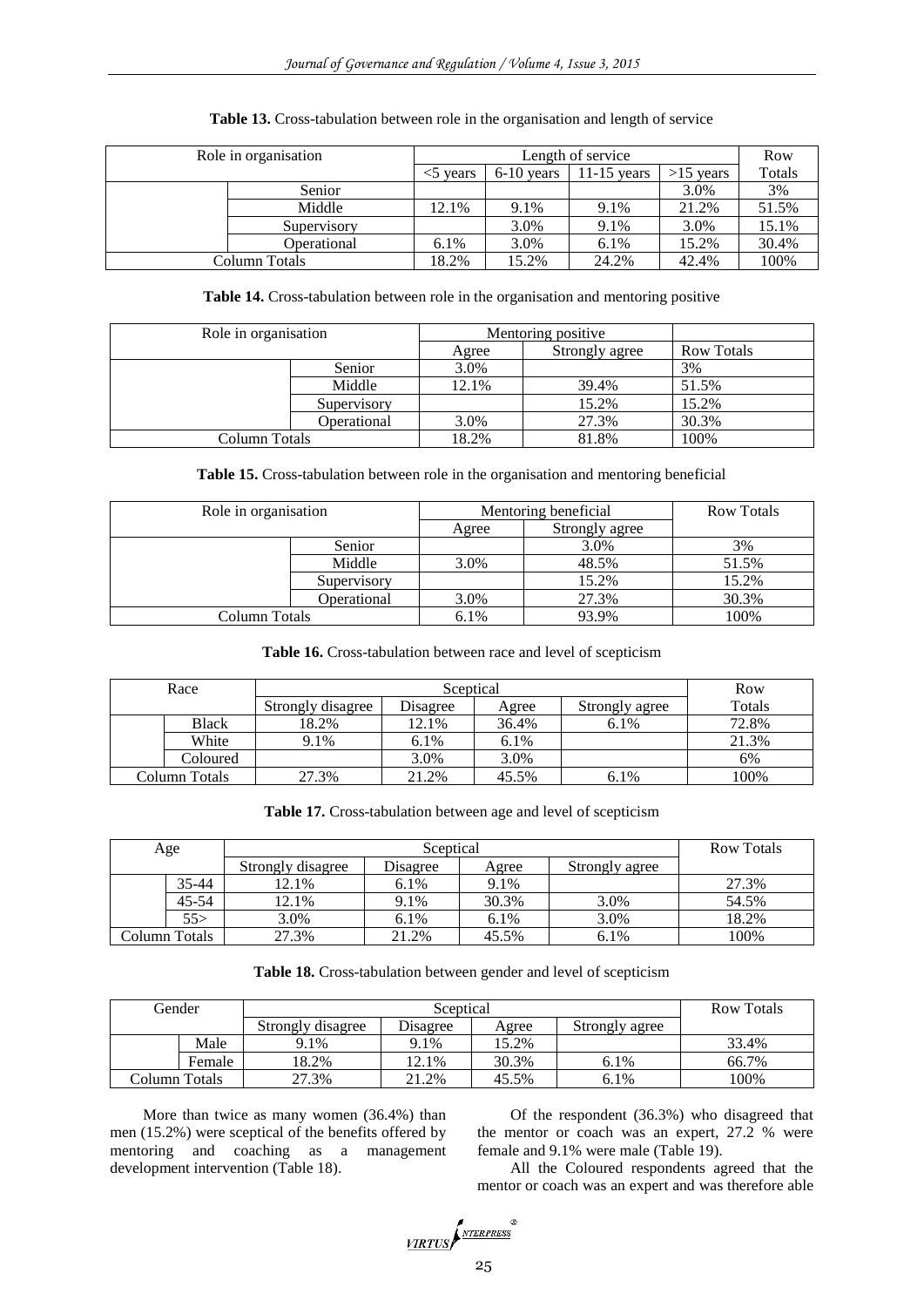| Role in organisation |             |           | Row          |               |             |        |
|----------------------|-------------|-----------|--------------|---------------|-------------|--------|
|                      |             | $<$ vears | $6-10$ years | $11-15$ years | $>15$ years | Totals |
|                      | Senior      |           |              |               | 3.0%        | 3%     |
|                      | Middle      | 12.1%     | 9.1%         | 9.1%          | 21.2%       | 51.5%  |
|                      | Supervisory |           | 3.0%         | 9.1%          | 3.0%        | 15.1%  |
|                      | Operational | 6.1%      | 3.0%         | 6.1%          | 15.2%       | 30.4%  |
| Column Totals        |             | 18.2%     | 15.2%        | 24.2%         | 42.4%       | 100%   |

## **Table 13.** Cross-tabulation between role in the organisation and length of service

**Table 14.** Cross-tabulation between role in the organisation and mentoring positive

| Role in organisation |             | Mentoring positive |                |                   |
|----------------------|-------------|--------------------|----------------|-------------------|
|                      |             | Agree              | Strongly agree | <b>Row Totals</b> |
|                      | Senior      | 3.0%               |                | 3%                |
|                      | Middle      | 12.1%              | 39.4%          | 51.5%             |
|                      | Supervisory |                    | 15.2%          | 15.2%             |
|                      | Operational | 3.0%               | 27.3%          | 30.3%             |
| Column Totals        |             | 18.2%              | 81.8%          | 100%              |

**Table 15.** Cross-tabulation between role in the organisation and mentoring beneficial

| Role in organisation |             | Mentoring beneficial | <b>Row Totals</b> |       |
|----------------------|-------------|----------------------|-------------------|-------|
|                      |             | Agree                | Strongly agree    |       |
|                      | Senior      |                      | 3.0%              | 3%    |
|                      | Middle      | 3.0%                 | 48.5%             | 51.5% |
|                      | Supervisory |                      | 15.2%             | 15.2% |
|                      | Operational | 3.0%                 | 27.3%             | 30.3% |
| Column Totals        |             | 6.1%                 | 93.9%             | 100%  |

#### **Table 16.** Cross-tabulation between race and level of scepticism

| Race          |                   | Row      |       |                |        |
|---------------|-------------------|----------|-------|----------------|--------|
|               | Strongly disagree | Disagree | Agree | Strongly agree | Totals |
| <b>Black</b>  | 18.2%             | 12.1%    | 36.4% | $6.1\%$        | 72.8%  |
| White         | 9.1%              | 6.1%     | 6.1%  |                | 21.3%  |
| Coloured      |                   | 3.0%     | 3.0%  |                | 6%     |
| Column Totals | 27.3%             | 21.2%    | 45.5% | 6.1%           | 100%   |

**Table 17.** Cross-tabulation between age and level of scepticism

| Age |               |                   | Sceptical | <b>Row Totals</b> |                |       |
|-----|---------------|-------------------|-----------|-------------------|----------------|-------|
|     |               | Strongly disagree | Disagree  | Agree             | Strongly agree |       |
|     | 35-44         | 12.1%             | 6.1%      | 9.1%              |                | 27.3% |
|     | $45 - 54$     | 12.1%             | 9.1%      | 30.3%             | 3.0%           | 54.5% |
|     | 55>           | 3.0%              | 6.1%      | 6.1%              | 3.0%           | 18.2% |
|     | Column Totals | 27.3%             | 21.2%     | 45.5%             | 6.1%           | 100%  |

## **Table 18.** Cross-tabulation between gender and level of scepticism

| Gender |               |                   | Sceptical | <b>Row Totals</b> |                |       |
|--------|---------------|-------------------|-----------|-------------------|----------------|-------|
|        |               | Strongly disagree | Disagree  | Agree             | Strongly agree |       |
|        | Male          | 9.1%              | 9.1%      | 15.2%             |                | 33.4% |
|        | Female        | 18.2%             | 12.1%     | 30.3%             | 6.1%           | 66.7% |
|        | Column Totals | 27.3%             | 21.2%     | 45.5%             | 6.1%           | 100%  |

More than twice as many women (36.4%) than men (15.2%) were sceptical of the benefits offered by mentoring and coaching as a management development intervention (Table 18).

Of the respondent (36.3%) who disagreed that the mentor or coach was an expert, 27.2 % were female and 9.1% were male (Table 19).

All the Coloured respondents agreed that the mentor or coach was an expert and was therefore able

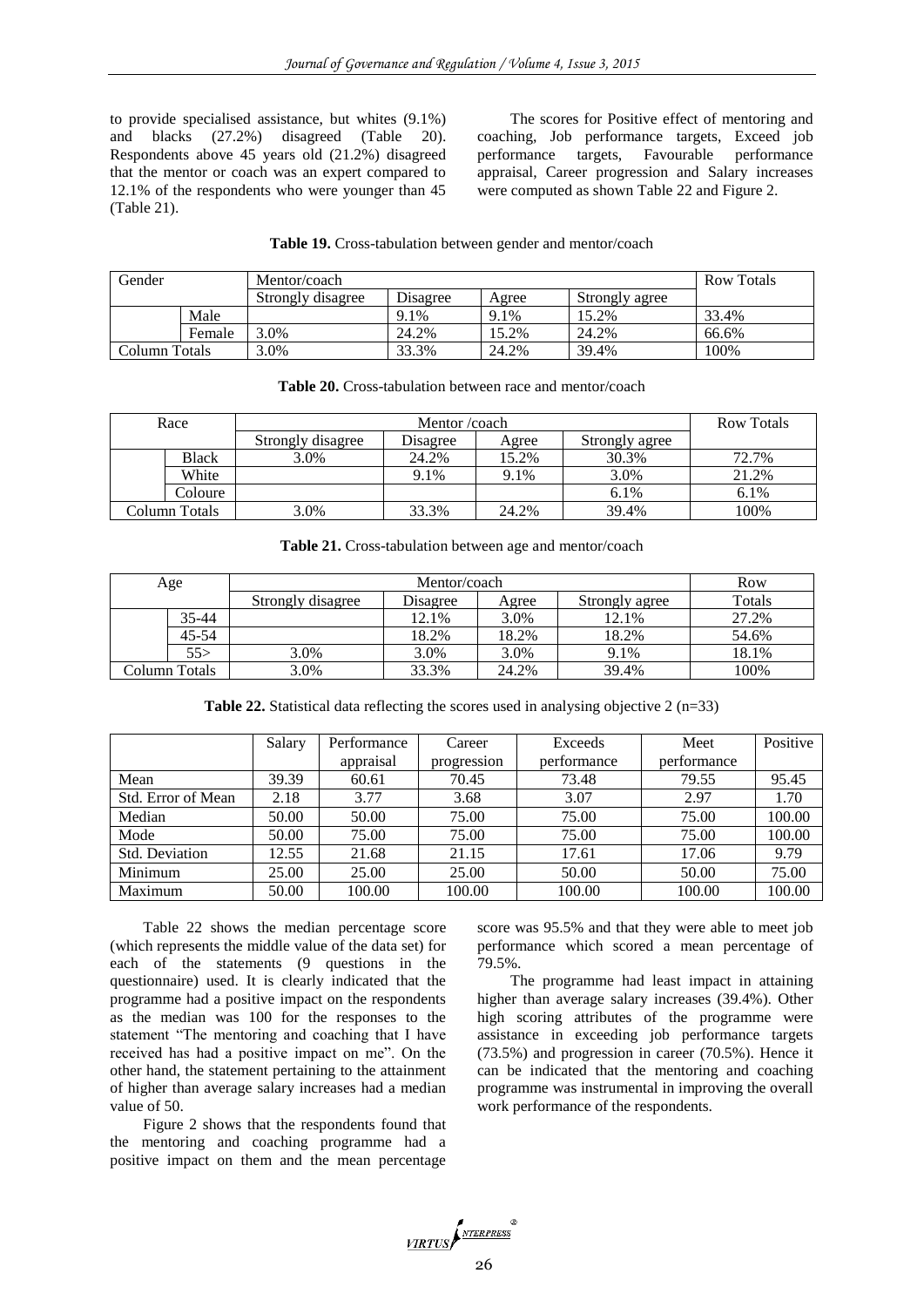to provide specialised assistance, but whites (9.1%) and blacks (27.2%) disagreed (Table 20). Respondents above 45 years old (21.2%) disagreed that the mentor or coach was an expert compared to 12.1% of the respondents who were younger than 45 (Table 21).

The scores for Positive effect of mentoring and coaching, Job performance targets, Exceed job performance targets, Favourable performance appraisal, Career progression and Salary increases were computed as shown Table 22 and Figure 2.

**Table 19.** Cross-tabulation between gender and mentor/coach

| Gender<br>Mentor/coach |        |                   | <b>Row Totals</b> |       |                |       |
|------------------------|--------|-------------------|-------------------|-------|----------------|-------|
|                        |        | Strongly disagree | Disagree          | Agree | Strongly agree |       |
|                        | Male   |                   | 9.1%              | 9.1%  | 15.2%          | 33.4% |
|                        | Female | ,0%               | 24.2%             | 5.2%  | 24.2%          | 66.6% |
| Column Totals          |        | $.0\%$            | 33.3%             | 24.2% | 39.4%          | 100%  |

| Race |               |                   | Mentor /coach |       |                |       |
|------|---------------|-------------------|---------------|-------|----------------|-------|
|      |               | Strongly disagree | Disagree      | Agree | Strongly agree |       |
|      | <b>Black</b>  | 3.0%              | 24.2%         | 15.2% | 30.3%          | 72.7% |
|      | White         |                   | 9.1%          | 9.1%  | 3.0%           | 21.2% |
|      | Coloure       |                   |               |       | 6.1%           | 6.1%  |
|      | Column Totals | 3.0%              | 33.3%         | 24.2% | 39.4%          | 100%  |

**Table 20.** Cross-tabulation between race and mentor/coach

|  | Table 21. Cross-tabulation between age and mentor/coach |  |  |
|--|---------------------------------------------------------|--|--|
|--|---------------------------------------------------------|--|--|

| Age           |           |                   | Row      |       |                |        |
|---------------|-----------|-------------------|----------|-------|----------------|--------|
|               |           | Strongly disagree | Disagree | Agree | Strongly agree | Totals |
|               | 35-44     |                   | 12.1%    | 3.0%  | 12.1%          | 27.2%  |
|               | $45 - 54$ |                   | 18.2%    | 18.2% | 18.2%          | 54.6%  |
|               | 55>       | 3.0%              | 3.0%     | 3.0%  | 9.1%           | 18.1%  |
| Column Totals |           | 3.0%              | 33.3%    | 24.2% | 39.4%          | 100%   |

**Table 22.** Statistical data reflecting the scores used in analysing objective 2 (n=33)

|                    | Salary | Performance | Career      | Exceeds     | Meet        | Positive |
|--------------------|--------|-------------|-------------|-------------|-------------|----------|
|                    |        | appraisal   | progression | performance | performance |          |
| Mean               | 39.39  | 60.61       | 70.45       | 73.48       | 79.55       | 95.45    |
| Std. Error of Mean | 2.18   | 3.77        | 3.68        | 3.07        | 2.97        | 1.70     |
| Median             | 50.00  | 50.00       | 75.00       | 75.00       | 75.00       | 100.00   |
| Mode               | 50.00  | 75.00       | 75.00       | 75.00       | 75.00       | 100.00   |
| Std. Deviation     | 12.55  | 21.68       | 21.15       | 17.61       | 17.06       | 9.79     |
| Minimum            | 25.00  | 25.00       | 25.00       | 50.00       | 50.00       | 75.00    |
| Maximum            | 50.00  | 100.00      | 100.00      | 100.00      | 100.00      | 100.00   |

Table 22 shows the median percentage score (which represents the middle value of the data set) for each of the statements (9 questions in the questionnaire) used. It is clearly indicated that the programme had a positive impact on the respondents as the median was 100 for the responses to the statement "The mentoring and coaching that I have received has had a positive impact on me". On the other hand, the statement pertaining to the attainment of higher than average salary increases had a median value of 50.

Figure 2 shows that the respondents found that the mentoring and coaching programme had a positive impact on them and the mean percentage

score was 95.5% and that they were able to meet job performance which scored a mean percentage of 79.5%.

The programme had least impact in attaining higher than average salary increases (39.4%). Other high scoring attributes of the programme were assistance in exceeding job performance targets (73.5%) and progression in career (70.5%). Hence it can be indicated that the mentoring and coaching programme was instrumental in improving the overall work performance of the respondents.

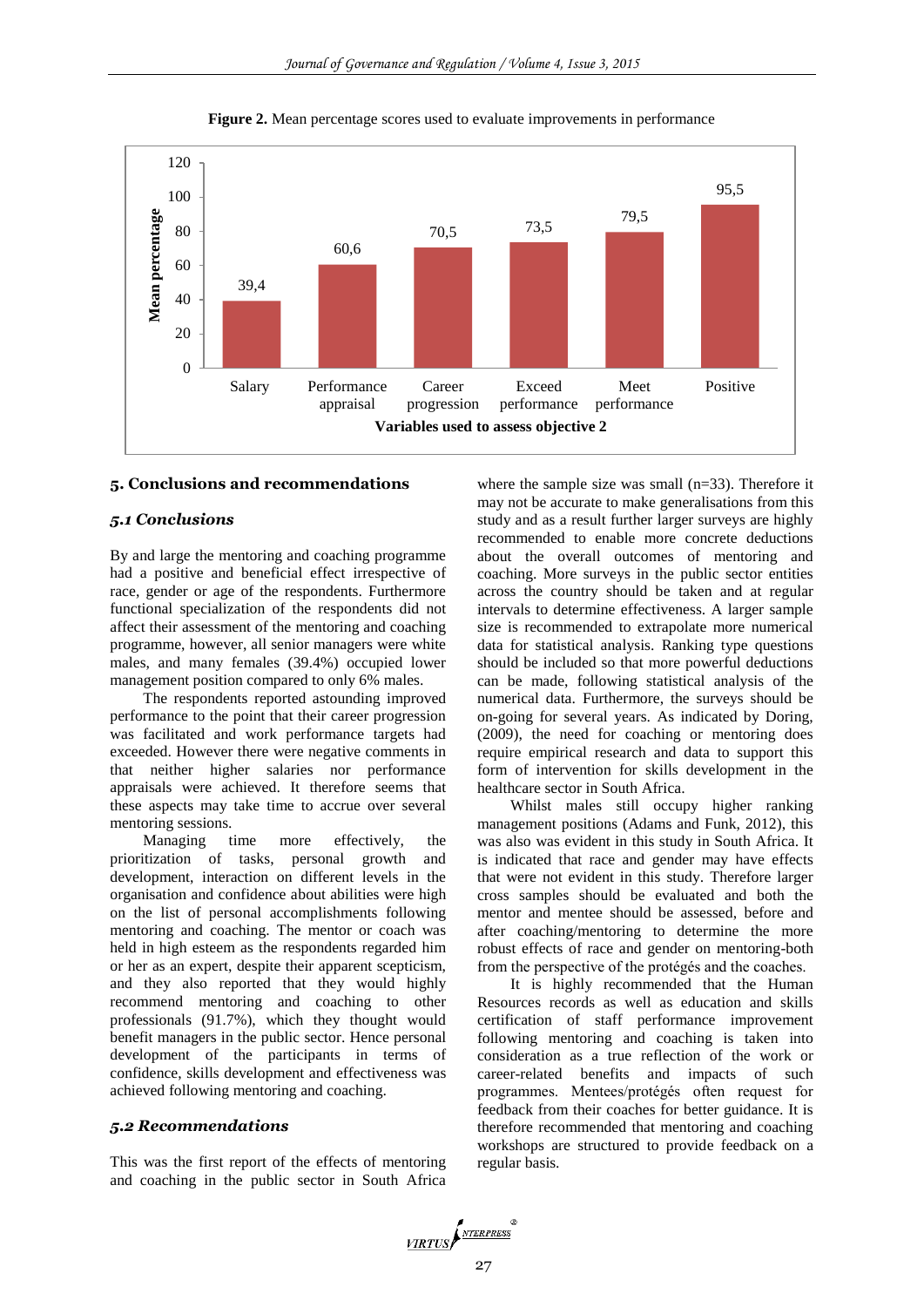

**Figure 2.** Mean percentage scores used to evaluate improvements in performance

## **5. Conclusions and recommendations**

## *5.1 Conclusions*

By and large the mentoring and coaching programme had a positive and beneficial effect irrespective of race, gender or age of the respondents. Furthermore functional specialization of the respondents did not affect their assessment of the mentoring and coaching programme, however, all senior managers were white males, and many females (39.4%) occupied lower management position compared to only 6% males.

The respondents reported astounding improved performance to the point that their career progression was facilitated and work performance targets had exceeded. However there were negative comments in that neither higher salaries nor performance appraisals were achieved. It therefore seems that these aspects may take time to accrue over several mentoring sessions.

Managing time more effectively, the prioritization of tasks, personal growth and development, interaction on different levels in the organisation and confidence about abilities were high on the list of personal accomplishments following mentoring and coaching. The mentor or coach was held in high esteem as the respondents regarded him or her as an expert, despite their apparent scepticism, and they also reported that they would highly recommend mentoring and coaching to other professionals (91.7%), which they thought would benefit managers in the public sector. Hence personal development of the participants in terms of confidence, skills development and effectiveness was achieved following mentoring and coaching.

#### *5.2 Recommendations*

This was the first report of the effects of mentoring and coaching in the public sector in South Africa

where the sample size was small (n=33). Therefore it may not be accurate to make generalisations from this study and as a result further larger surveys are highly recommended to enable more concrete deductions about the overall outcomes of mentoring and coaching. More surveys in the public sector entities across the country should be taken and at regular intervals to determine effectiveness. A larger sample size is recommended to extrapolate more numerical data for statistical analysis. Ranking type questions should be included so that more powerful deductions can be made, following statistical analysis of the numerical data. Furthermore, the surveys should be on-going for several years. As indicated by Doring, (2009), the need for coaching or mentoring does require empirical research and data to support this form of intervention for skills development in the healthcare sector in South Africa.

Whilst males still occupy higher ranking management positions (Adams and Funk, 2012), this was also was evident in this study in South Africa. It is indicated that race and gender may have effects that were not evident in this study. Therefore larger cross samples should be evaluated and both the mentor and mentee should be assessed, before and after coaching/mentoring to determine the more robust effects of race and gender on mentoring-both from the perspective of the protégés and the coaches.

It is highly recommended that the Human Resources records as well as education and skills certification of staff performance improvement following mentoring and coaching is taken into consideration as a true reflection of the work or career-related benefits and impacts of such programmes. Mentees/protégés often request for feedback from their coaches for better guidance. It is therefore recommended that mentoring and coaching workshops are structured to provide feedback on a regular basis.

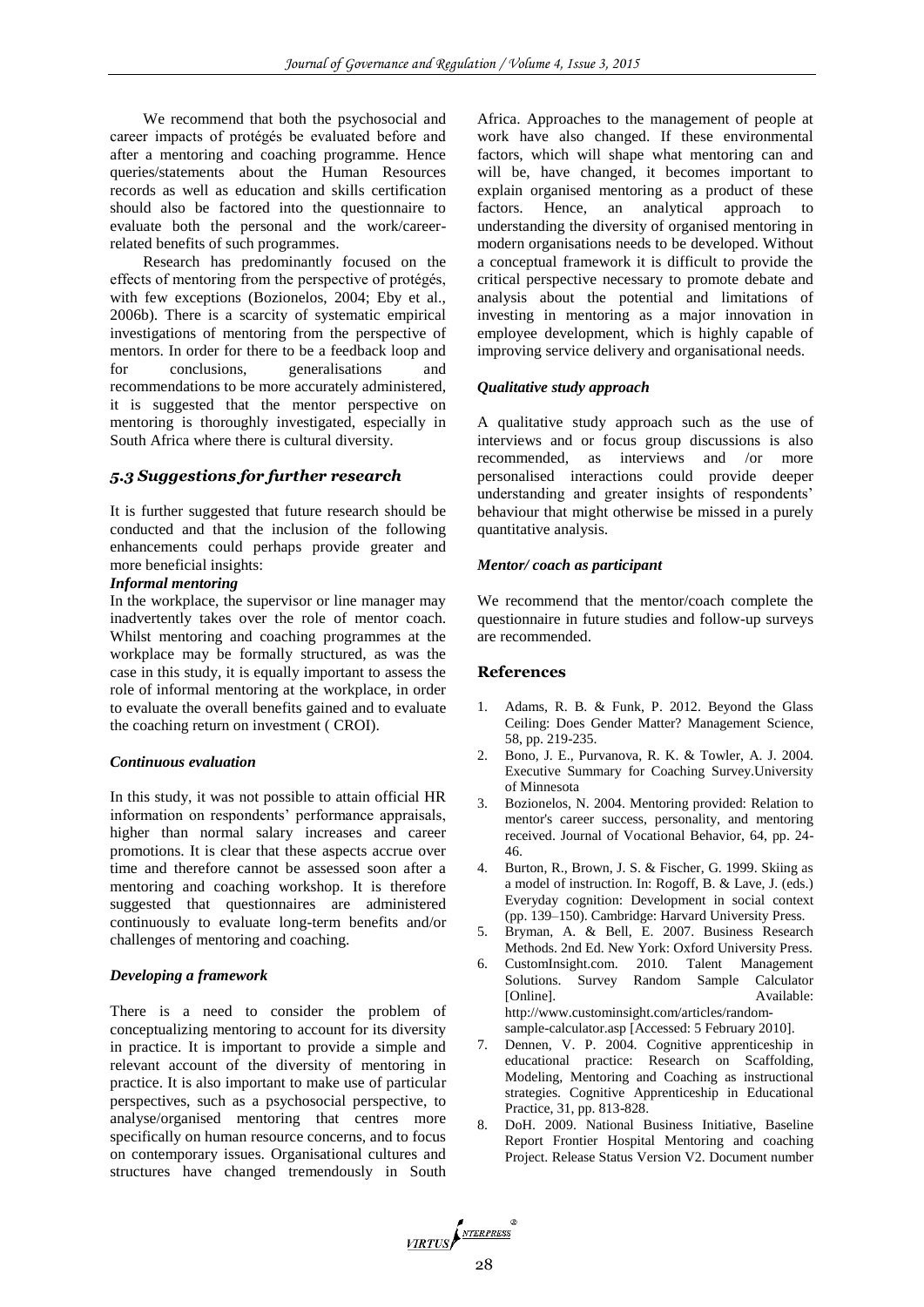We recommend that both the psychosocial and career impacts of protégés be evaluated before and after a mentoring and coaching programme. Hence queries/statements about the Human Resources records as well as education and skills certification should also be factored into the questionnaire to evaluate both the personal and the work/careerrelated benefits of such programmes.

Research has predominantly focused on the effects of mentoring from the perspective of protégés, with few exceptions (Bozionelos, 2004; Eby et al., 2006b). There is a scarcity of systematic empirical investigations of mentoring from the perspective of mentors. In order for there to be a feedback loop and for conclusions, generalisations and recommendations to be more accurately administered, it is suggested that the mentor perspective on mentoring is thoroughly investigated, especially in South Africa where there is cultural diversity.

## *5.3 Suggestions for further research*

It is further suggested that future research should be conducted and that the inclusion of the following enhancements could perhaps provide greater and more beneficial insights:

## *Informal mentoring*

In the workplace, the supervisor or line manager may inadvertently takes over the role of mentor coach. Whilst mentoring and coaching programmes at the workplace may be formally structured, as was the case in this study, it is equally important to assess the role of informal mentoring at the workplace, in order to evaluate the overall benefits gained and to evaluate the coaching return on investment ( CROI).

#### *Continuous evaluation*

In this study, it was not possible to attain official HR information on respondents' performance appraisals, higher than normal salary increases and career promotions. It is clear that these aspects accrue over time and therefore cannot be assessed soon after a mentoring and coaching workshop. It is therefore suggested that questionnaires are administered continuously to evaluate long-term benefits and/or challenges of mentoring and coaching.

#### *Developing a framework*

There is a need to consider the problem of conceptualizing mentoring to account for its diversity in practice. It is important to provide a simple and relevant account of the diversity of mentoring in practice. It is also important to make use of particular perspectives, such as a psychosocial perspective, to analyse/organised mentoring that centres more specifically on human resource concerns, and to focus on contemporary issues. Organisational cultures and structures have changed tremendously in South Africa. Approaches to the management of people at work have also changed. If these environmental factors, which will shape what mentoring can and will be, have changed, it becomes important to explain organised mentoring as a product of these factors. Hence, an analytical approach to understanding the diversity of organised mentoring in modern organisations needs to be developed. Without a conceptual framework it is difficult to provide the critical perspective necessary to promote debate and analysis about the potential and limitations of investing in mentoring as a major innovation in employee development, which is highly capable of improving service delivery and organisational needs.

## *Qualitative study approach*

A qualitative study approach such as the use of interviews and or focus group discussions is also recommended, as interviews and /or more personalised interactions could provide deeper understanding and greater insights of respondents' behaviour that might otherwise be missed in a purely quantitative analysis.

#### *Mentor/ coach as participant*

We recommend that the mentor/coach complete the questionnaire in future studies and follow-up surveys are recommended.

## **References**

- 1. Adams, R. B. & Funk, P. 2012. Beyond the Glass Ceiling: Does Gender Matter? Management Science, 58, pp. 219-235.
- 2. Bono, J. E., Purvanova, R. K. & Towler, A. J. 2004. Executive Summary for Coaching Survey.University of Minnesota
- 3. Bozionelos, N. 2004. Mentoring provided: Relation to mentor's career success, personality, and mentoring received. Journal of Vocational Behavior, 64, pp. 24- 46.
- 4. Burton, R., Brown, J. S. & Fischer, G. 1999. Skiing as a model of instruction. In: Rogoff, B. & Lave, J. (eds.) Everyday cognition: Development in social context (pp. 139–150). Cambridge: Harvard University Press.
- 5. Bryman, A. & Bell, E. 2007. Business Research Methods. 2nd Ed. New York: Oxford University Press.
- 6. CustomInsight.com. 2010. Talent Management Solutions. Survey Random Sample Calculator [Online]. Available: http://www.custominsight.com/articles/randomsample-calculator.asp [Accessed: 5 February 2010].
- 7. Dennen, V. P. 2004. Cognitive apprenticeship in educational practice: Research on Scaffolding, Modeling, Mentoring and Coaching as instructional strategies. Cognitive Apprenticeship in Educational Practice, 31, pp. 813-828.
- 8. DoH. 2009. National Business Initiative, Baseline Report Frontier Hospital Mentoring and coaching Project. Release Status Version V2. Document number